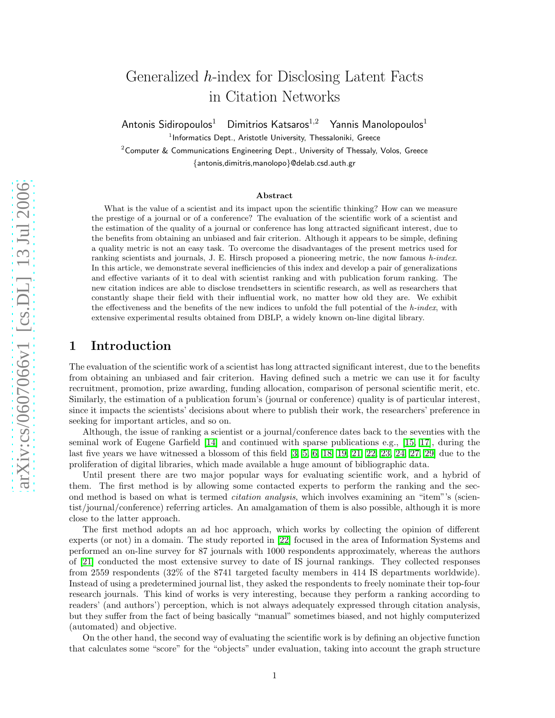# Generalized h-index for Disclosing Latent Facts in Citation Networks

Antonis Sidiropoulos<sup>1</sup> Dimitrios Katsaros<sup>1,2</sup> Yannis Manolopoulos<sup>1</sup>

 $<sup>1</sup>$ Informatics Dept., Aristotle University, Thessaloniki, Greece</sup>

<sup>2</sup> Computer & Communications Engineering Dept., University of Thessaly, Volos, Greece

{antonis,dimitris,manolopo}@delab.csd.auth.gr

#### Abstract

What is the value of a scientist and its impact upon the scientific thinking? How can we measure the prestige of a journal or of a conference? The evaluation of the scientific work of a scientist and the estimation of the quality of a journal or conference has long attracted significant interest, due to the benefits from obtaining an unbiased and fair criterion. Although it appears to be simple, defining a quality metric is not an easy task. To overcome the disadvantages of the present metrics used for ranking scientists and journals, J. E. Hirsch proposed a pioneering metric, the now famous h-index. In this article, we demonstrate several inefficiencies of this index and develop a pair of generalizations and effective variants of it to deal with scientist ranking and with publication forum ranking. The new citation indices are able to disclose trendsetters in scientific research, as well as researchers that constantly shape their field with their influential work, no matter how old they are. We exhibit the effectiveness and the benefits of the new indices to unfold the full potential of the h-index, with extensive experimental results obtained from DBLP, a widely known on-line digital library.

### 1 Introduction

The evaluation of the scientific work of a scientist has long attracted significant interest, due to the benefits from obtaining an unbiased and fair criterion. Having defined such a metric we can use it for faculty recruitment, promotion, prize awarding, funding allocation, comparison of personal scientific merit, etc. Similarly, the estimation of a publication forum's (journal or conference) quality is of particular interest, since it impacts the scientists' decisions about where to publish their work, the researchers' preference in seeking for important articles, and so on.

Although, the issue of ranking a scientist or a journal/conference dates back to the seventies with the seminal work of Eugene Garfield [\[14\]](#page-17-0) and continued with sparse publications e.g., [\[15,](#page-17-1) [17\]](#page-18-0), during the last five years we have witnessed a blossom of this field [\[3,](#page-16-0) [5,](#page-16-1) [6,](#page-16-2) [18,](#page-18-1) [19,](#page-18-2) [21,](#page-18-3) [22,](#page-18-4) [23,](#page-18-5) [24,](#page-18-6) [27,](#page-18-7) [29\]](#page-18-8) due to the proliferation of digital libraries, which made available a huge amount of bibliographic data.

Until present there are two major popular ways for evaluating scientific work, and a hybrid of them. The first method is by allowing some contacted experts to perform the ranking and the second method is based on what is termed *citation analysis*, which involves examining an "item"'s (scientist/journal/conference) referring articles. An amalgamation of them is also possible, although it is more close to the latter approach.

The first method adopts an ad hoc approach, which works by collecting the opinion of different experts (or not) in a domain. The study reported in [\[22\]](#page-18-4) focused in the area of Information Systems and performed an on-line survey for 87 journals with 1000 respondents approximately, whereas the authors of [\[21\]](#page-18-3) conducted the most extensive survey to date of IS journal rankings. They collected responses from 2559 respondents (32% of the 8741 targeted faculty members in 414 IS departments worldwide). Instead of using a predetermined journal list, they asked the respondents to freely nominate their top-four research journals. This kind of works is very interesting, because they perform a ranking according to readers' (and authors') perception, which is not always adequately expressed through citation analysis, but they suffer from the fact of being basically "manual" sometimes biased, and not highly computerized (automated) and objective.

On the other hand, the second way of evaluating the scientific work is by defining an objective function that calculates some "score" for the "objects" under evaluation, taking into account the graph structure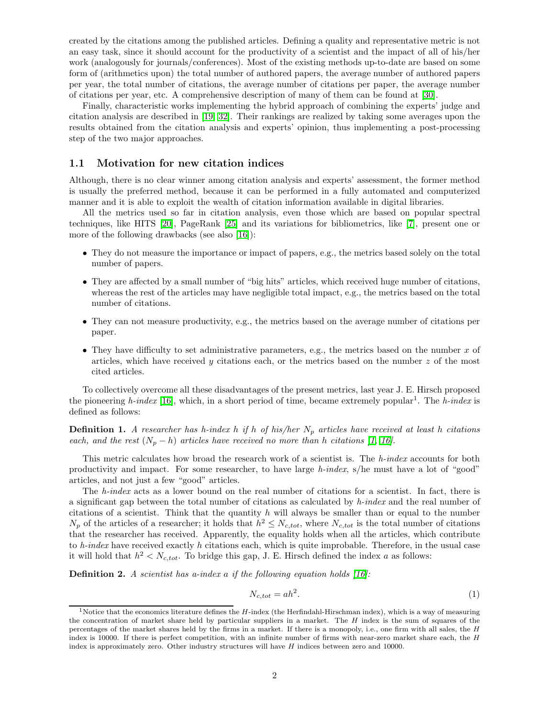created by the citations among the published articles. Defining a quality and representative metric is not an easy task, since it should account for the productivity of a scientist and the impact of all of his/her work (analogously for journals/conferences). Most of the existing methods up-to-date are based on some form of (arithmetics upon) the total number of authored papers, the average number of authored papers per year, the total number of citations, the average number of citations per paper, the average number of citations per year, etc. A comprehensive description of many of them can be found at [\[30\]](#page-18-9).

Finally, characteristic works implementing the hybrid approach of combining the experts' judge and citation analysis are described in [\[19,](#page-18-2) [32\]](#page-18-10). Their rankings are realized by taking some averages upon the results obtained from the citation analysis and experts' opinion, thus implementing a post-processing step of the two major approaches.

#### 1.1 Motivation for new citation indices

Although, there is no clear winner among citation analysis and experts' assessment, the former method is usually the preferred method, because it can be performed in a fully automated and computerized manner and it is able to exploit the wealth of citation information available in digital libraries.

All the metrics used so far in citation analysis, even those which are based on popular spectral techniques, like HITS [\[20\]](#page-18-11), PageRank [\[25\]](#page-18-12) and its variations for bibliometrics, like [\[7\]](#page-16-3), present one or more of the following drawbacks (see also [\[16\]](#page-18-13)):

- They do not measure the importance or impact of papers, e.g., the metrics based solely on the total number of papers.
- They are affected by a small number of "big hits" articles, which received huge number of citations, whereas the rest of the articles may have negligible total impact, e.g., the metrics based on the total number of citations.
- They can not measure productivity, e.g., the metrics based on the average number of citations per paper.
- They have difficulty to set administrative parameters, e.g., the metrics based on the number  $x$  of articles, which have received y citations each, or the metrics based on the number  $z$  of the most cited articles.

To collectively overcome all these disadvantages of the present metrics, last year J. E. Hirsch proposed the pioneering *h-index* [\[16\]](#page-18-13), which, in a short period of time, became extremely popular<sup>1</sup>. The *h-index* is defined as follows:

Definition 1. *A researcher has h-index h if h of his/her*  $N_p$  *articles have received at least h citations each, and the rest*  $(N_p - h)$  *articles have received no more than* h *citations* [\[1,](#page-16-4) [16\]](#page-18-13)*.* 

This metric calculates how broad the research work of a scientist is. The *h-index* accounts for both productivity and impact. For some researcher, to have large *h-index*, s/he must have a lot of "good" articles, and not just a few "good" articles.

The *h-index* acts as a lower bound on the real number of citations for a scientist. In fact, there is a significant gap between the total number of citations as calculated by *h-index* and the real number of citations of a scientist. Think that the quantity  $h$  will always be smaller than or equal to the number  $N_p$  of the articles of a researcher; it holds that  $h^2 \leq N_{c,tot}$ , where  $N_{c,tot}$  is the total number of citations that the researcher has received. Apparently, the equality holds when all the articles, which contribute to *h-index* have received exactly h citations each, which is quite improbable. Therefore, in the usual case it will hold that  $h^2 < N_{c,tot}$ . To bridge this gap, J. E. Hirsch defined the index a as follows:

Definition 2. *A scientist has a-index* a *if the following equation holds [\[16\]](#page-18-13):*

$$
N_{c,tot} = ah^2. \t\t(1)
$$

<sup>&</sup>lt;sup>1</sup>Notice that the economics literature defines the  $H$ -index (the Herfindahl-Hirschman index), which is a way of measuring the concentration of market share held by particular suppliers in a market. The  $H$  index is the sum of squares of the percentages of the market shares held by the firms in a market. If there is a monopoly, i.e., one firm with all sales, the H index is 10000. If there is perfect competition, with an infinite number of firms with near-zero market share each, the H index is approximately zero. Other industry structures will have H indices between zero and 10000.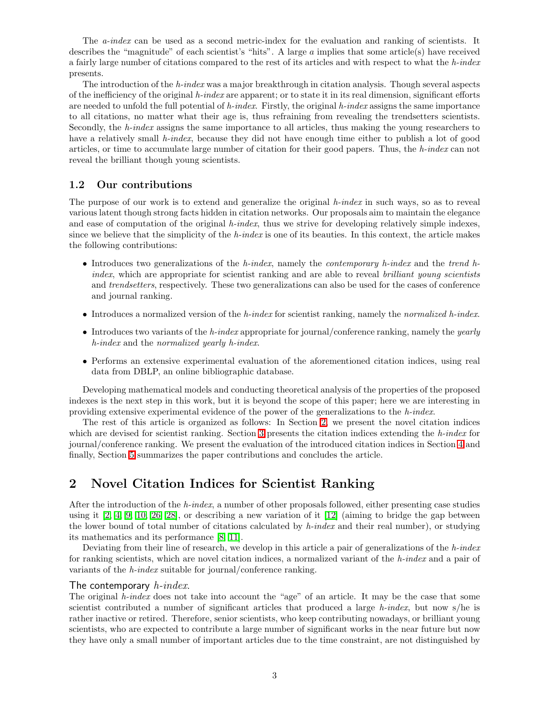The *a-index* can be used as a second metric-index for the evaluation and ranking of scientists. It describes the "magnitude" of each scientist's "hits". A large a implies that some article(s) have received a fairly large number of citations compared to the rest of its articles and with respect to what the *h-index* presents.

The introduction of the *h-index* was a major breakthrough in citation analysis. Though several aspects of the inefficiency of the original *h-index* are apparent; or to state it in its real dimension, significant efforts are needed to unfold the full potential of *h-index*. Firstly, the original *h-index* assigns the same importance to all citations, no matter what their age is, thus refraining from revealing the trendsetters scientists. Secondly, the *h-index* assigns the same importance to all articles, thus making the young researchers to have a relatively small *h-index*, because they did not have enough time either to publish a lot of good articles, or time to accumulate large number of citation for their good papers. Thus, the *h-index* can not reveal the brilliant though young scientists.

### 1.2 Our contributions

The purpose of our work is to extend and generalize the original *h-index* in such ways, so as to reveal various latent though strong facts hidden in citation networks. Our proposals aim to maintain the elegance and ease of computation of the original *h-index*, thus we strive for developing relatively simple indexes, since we believe that the simplicity of the *h-index* is one of its beauties. In this context, the article makes the following contributions:

- Introduces two generalizations of the *h-index*, namely the *contemporary h-index* and the *trend hindex*, which are appropriate for scientist ranking and are able to reveal *brilliant young scientists* and *trendsetters*, respectively. These two generalizations can also be used for the cases of conference and journal ranking.
- Introduces a normalized version of the *h-index* for scientist ranking, namely the *normalized h-index*.
- Introduces two variants of the *h-index* appropriate for journal/conference ranking, namely the *yearly h-index* and the *normalized yearly h-index*.
- Performs an extensive experimental evaluation of the aforementioned citation indices, using real data from DBLP, an online bibliographic database.

Developing mathematical models and conducting theoretical analysis of the properties of the proposed indexes is the next step in this work, but it is beyond the scope of this paper; here we are interesting in providing extensive experimental evidence of the power of the generalizations to the *h-index*.

The rest of this article is organized as follows: In Section [2,](#page-2-0) we present the novel citation indices which are devised for scientist ranking. Section [3](#page-4-0) presents the citation indices extending the *h-index* for journal/conference ranking. We present the evaluation of the introduced citation indices in Section [4](#page-5-0) and finally, Section [5](#page-15-0) summarizes the paper contributions and concludes the article.

# <span id="page-2-0"></span>2 Novel Citation Indices for Scientist Ranking

After the introduction of the *h-index*, a number of other proposals followed, either presenting case studies using it  $[2, 4, 9, 10, 26, 28]$  $[2, 4, 9, 10, 26, 28]$  $[2, 4, 9, 10, 26, 28]$  $[2, 4, 9, 10, 26, 28]$  $[2, 4, 9, 10, 26, 28]$  $[2, 4, 9, 10, 26, 28]$ , or describing a new variation of it  $[12]$  (aiming to bridge the gap between the lower bound of total number of citations calculated by *h-index* and their real number), or studying its mathematics and its performance [\[8,](#page-17-5) [11\]](#page-17-6).

Deviating from their line of research, we develop in this article a pair of generalizations of the *h-index* for ranking scientists, which are novel citation indices, a normalized variant of the *h-index* and a pair of variants of the *h-index* suitable for journal/conference ranking.

#### The contemporary  $h$ -index.

The original *h-index* does not take into account the "age" of an article. It may be the case that some scientist contributed a number of significant articles that produced a large *h-index*, but now s/he is rather inactive or retired. Therefore, senior scientists, who keep contributing nowadays, or brilliant young scientists, who are expected to contribute a large number of significant works in the near future but now they have only a small number of important articles due to the time constraint, are not distinguished by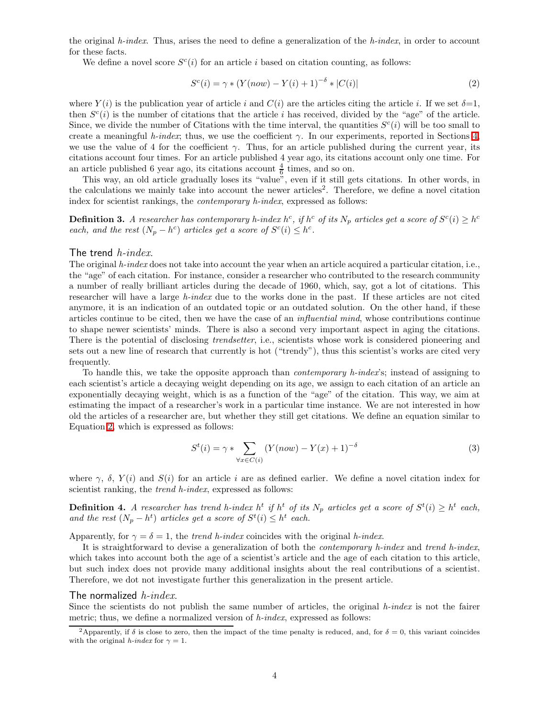the original *h-index*. Thus, arises the need to define a generalization of the *h-index*, in order to account for these facts.

We define a novel score  $S<sup>c</sup>(i)$  for an article i based on citation counting, as follows:

<span id="page-3-0"></span>
$$
S^{c}(i) = \gamma * (Y(now) - Y(i) + 1)^{-\delta} * |C(i)|
$$
\n(2)

where  $Y(i)$  is the publication year of article i and  $C(i)$  are the articles citing the article i. If we set  $\delta=1$ , then  $S<sup>c</sup>(i)$  is the number of citations that the article i has received, divided by the "age" of the article. Since, we divide the number of Citations with the time interval, the quantities  $S<sup>c</sup>(i)$  will be too small to create a meaningful *h-index*; thus, we use the coefficient  $\gamma$ . In our experiments, reported in Sections [4,](#page-5-0) we use the value of 4 for the coefficient  $\gamma$ . Thus, for an article published during the current year, its citations account four times. For an article published 4 year ago, its citations account only one time. For an article published 6 year ago, its citations account  $\frac{4}{6}$  times, and so on.

This way, an old article gradually loses its "value", even if it still gets citations. In other words, in the calculations we mainly take into account the newer articles<sup>2</sup>. Therefore, we define a novel citation index for scientist rankings, the *contemporary h-index*, expressed as follows:

<span id="page-3-1"></span>**Definition 3.** A researcher has contemporary h-index  $h^c$ , if  $h^c$  of its  $N_p$  articles get a score of  $S^c(i) \geq h^c$ *each, and the rest*  $(N_p - h^c)$  *articles get a score of*  $S^c(i) \leq h^c$ .

#### The trend *h*-index.

The original *h-index* does not take into account the year when an article acquired a particular citation, i.e., the "age" of each citation. For instance, consider a researcher who contributed to the research community a number of really brilliant articles during the decade of 1960, which, say, got a lot of citations. This researcher will have a large *h-index* due to the works done in the past. If these articles are not cited anymore, it is an indication of an outdated topic or an outdated solution. On the other hand, if these articles continue to be cited, then we have the case of an *influential mind*, whose contributions continue to shape newer scientists' minds. There is also a second very important aspect in aging the citations. There is the potential of disclosing *trendsetter*, i.e., scientists whose work is considered pioneering and sets out a new line of research that currently is hot ("trendy"), thus this scientist's works are cited very frequently.

To handle this, we take the opposite approach than *contemporary h-index*'s; instead of assigning to each scientist's article a decaying weight depending on its age, we assign to each citation of an article an exponentially decaying weight, which is as a function of the "age" of the citation. This way, we aim at estimating the impact of a researcher's work in a particular time instance. We are not interested in how old the articles of a researcher are, but whether they still get citations. We define an equation similar to Equation [2,](#page-3-0) which is expressed as follows:

$$
S^{t}(i) = \gamma * \sum_{\forall x \in C(i)} (Y(now) - Y(x) + 1)^{-\delta}
$$
\n(3)

<span id="page-3-2"></span>where  $\gamma$ ,  $\delta$ ,  $Y(i)$  and  $S(i)$  for an article i are as defined earlier. We define a novel citation index for scientist ranking, the *trend h-index*, expressed as follows:

**Definition 4.** A researcher has trend h-index  $h^t$  if  $h^t$  of its  $N_p$  articles get a score of  $S^t(i) \geq h^t$  each, *and the rest*  $(N_p - h^t)$  *articles get a score of*  $S^t(i) \leq h^t$  *each.* 

Apparently, for  $\gamma = \delta = 1$ , the *trend h-index* coincides with the original *h-index*.

It is straightforward to devise a generalization of both the *contemporary h-index* and *trend h-index*, which takes into account both the age of a scientist's article and the age of each citation to this article, but such index does not provide many additional insights about the real contributions of a scientist. Therefore, we dot not investigate further this generalization in the present article.

#### The normalized  $h$ -index.

Since the scientists do not publish the same number of articles, the original *h-index* is not the fairer metric; thus, we define a normalized version of *h-index*, expressed as follows:

<sup>&</sup>lt;sup>2</sup>Apparently, if  $\delta$  is close to zero, then the impact of the time penalty is reduced, and, for  $\delta = 0$ , this variant coincides with the original *h*-index for  $\gamma = 1$ .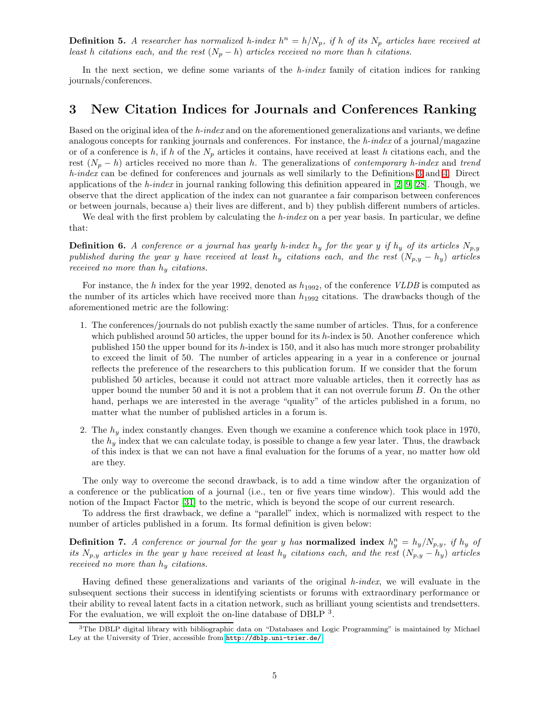**Definition 5.** A researcher has normalized h-index  $h^n = h/N_p$ , if h of its  $N_p$  articles have received at *least* h *citations each, and the rest*  $(N_p - h)$  *articles received no more than* h *citations.* 

In the next section, we define some variants of the *h-index* family of citation indices for ranking journals/conferences.

### <span id="page-4-0"></span>3 New Citation Indices for Journals and Conferences Ranking

Based on the original idea of the *h-index* and on the aforementioned generalizations and variants, we define analogous concepts for ranking journals and conferences. For instance, the *h-index* of a journal/magazine or of a conference is h, if h of the  $N_p$  articles it contains, have received at least h citations each, and the rest (N<sup>p</sup> − h) articles received no more than h. The generalizations of *contemporary h-index* and *trend h-index* can be defined for conferences and journals as well similarly to the Definitions [3](#page-3-1) and [4.](#page-3-2) Direct applications of the *h-index* in journal ranking following this definition appeared in [\[2,](#page-16-5) [9,](#page-17-2) [28\]](#page-18-15). Though, we observe that the direct application of the index can not guarantee a fair comparison between conferences or between journals, because a) their lives are different, and b) they publish different numbers of articles.

<span id="page-4-1"></span>We deal with the first problem by calculating the *h-index* on a per year basis. In particular, we define that:

**Definition 6.** A conference or a journal has yearly h-index  $h_y$  for the year y if  $h_y$  of its articles  $N_{p,y}$ *published during the year* y *have received at least*  $h_y$  *citations each, and the rest* ( $N_{p,y} - h_y$ ) *articles received no more than* h<sup>y</sup> *citations.*

For instance, the h index for the year 1992, denoted as  $h_{1992}$ , of the conference *VLDB* is computed as the number of its articles which have received more than  $h_{1992}$  citations. The drawbacks though of the aforementioned metric are the following:

- 1. The conferences/journals do not publish exactly the same number of articles. Thus, for a conference which published around 50 articles, the upper bound for its h-index is 50. Another conference which published 150 the upper bound for its h-index is 150, and it also has much more stronger probability to exceed the limit of 50. The number of articles appearing in a year in a conference or journal reflects the preference of the researchers to this publication forum. If we consider that the forum published 50 articles, because it could not attract more valuable articles, then it correctly has as upper bound the number 50 and it is not a problem that it can not overrule forum  $B$ . On the other hand, perhaps we are interested in the average "quality" of the articles published in a forum, no matter what the number of published articles in a forum is.
- 2. The  $h_y$  index constantly changes. Even though we examine a conference which took place in 1970, the  $h_y$  index that we can calculate today, is possible to change a few year later. Thus, the drawback of this index is that we can not have a final evaluation for the forums of a year, no matter how old are they.

The only way to overcome the second drawback, is to add a time window after the organization of a conference or the publication of a journal (i.e., ten or five years time window). This would add the notion of the Impact Factor [\[31\]](#page-18-16) to the metric, which is beyond the scope of our current research.

<span id="page-4-2"></span>To address the first drawback, we define a "parallel" index, which is normalized with respect to the number of articles published in a forum. Its formal definition is given below:

**Definition 7.** A conference or journal for the year y has **normalized index**  $h_y^n = h_y/N_{p,y}$ , if  $h_y$  of *its*  $N_{p,y}$  *articles in the year* y *have received at least*  $h_y$  *citations each, and the rest*  $(N_{p,y} - h_y)$  *articles received no more than* h<sup>y</sup> *citations.*

Having defined these generalizations and variants of the original *h-index*, we will evaluate in the subsequent sections their success in identifying scientists or forums with extraordinary performance or their ability to reveal latent facts in a citation network, such as brilliant young scientists and trendsetters. For the evaluation, we will exploit the on-line database of DBLP <sup>3</sup>.

<sup>3</sup>The DBLP digital library with bibliographic data on "Databases and Logic Programming" is maintained by Michael Ley at the University of Trier, accessible from <http://dblp.uni-trier.de/>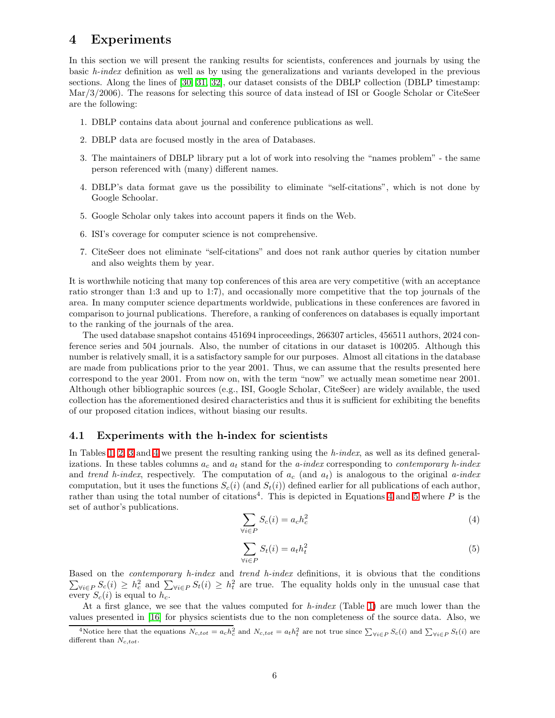# <span id="page-5-0"></span>4 Experiments

In this section we will present the ranking results for scientists, conferences and journals by using the basic *h-index* definition as well as by using the generalizations and variants developed in the previous sections. Along the lines of [\[30,](#page-18-9) [31,](#page-18-16) [32\]](#page-18-10), our dataset consists of the DBLP collection (DBLP timestamp: Mar/3/2006). The reasons for selecting this source of data instead of ISI or Google Scholar or CiteSeer are the following:

- 1. DBLP contains data about journal and conference publications as well.
- 2. DBLP data are focused mostly in the area of Databases.
- 3. The maintainers of DBLP library put a lot of work into resolving the "names problem" the same person referenced with (many) different names.
- 4. DBLP's data format gave us the possibility to eliminate "self-citations", which is not done by Google Schoolar.
- 5. Google Scholar only takes into account papers it finds on the Web.
- 6. ISI's coverage for computer science is not comprehensive.
- 7. CiteSeer does not eliminate "self-citations" and does not rank author queries by citation number and also weights them by year.

It is worthwhile noticing that many top conferences of this area are very competitive (with an acceptance ratio stronger than 1:3 and up to 1:7), and occasionally more competitive that the top journals of the area. In many computer science departments worldwide, publications in these conferences are favored in comparison to journal publications. Therefore, a ranking of conferences on databases is equally important to the ranking of the journals of the area.

The used database snapshot contains 451694 inproceedings, 266307 articles, 456511 authors, 2024 conference series and 504 journals. Also, the number of citations in our dataset is 100205. Although this number is relatively small, it is a satisfactory sample for our purposes. Almost all citations in the database are made from publications prior to the year 2001. Thus, we can assume that the results presented here correspond to the year 2001. From now on, with the term "now" we actually mean sometime near 2001. Although other bibliographic sources (e.g., ISI, Google Scholar, CiteSeer) are widely available, the used collection has the aforementioned desired characteristics and thus it is sufficient for exhibiting the benefits of our proposed citation indices, without biasing our results.

### 4.1 Experiments with the h-index for scientists

<span id="page-5-1"></span>In Tables [1,](#page-6-0) [2,](#page-6-1) [3](#page-7-0) and [4](#page-7-1) we present the resulting ranking using the *h-index*, as well as its defined generalizations. In these tables columns  $a_c$  and  $a_t$  stand for the *a-index* corresponding to *contemporary h-index* and *trend h-index*, respectively. The computation of  $a_c$  (and  $a_t$ ) is analogous to the original *a-index* computation, but it uses the functions  $S_c(i)$  (and  $S_t(i)$ ) defined earlier for all publications of each author, rather than using the total number of citations<sup>4</sup>. This is depicted in Equations [4](#page-5-1) and [5](#page-5-2) where P is the set of author's publications.

$$
\sum_{\forall i \in P} S_c(i) = a_c h_c^2 \tag{4}
$$

$$
\sum_{\forall i \in P} S_t(i) = a_t h_t^2 \tag{5}
$$

<span id="page-5-2"></span> $\sum_{\forall i \in P} S_c(i) \geq h_c^2$  and  $\sum_{\forall i \in P} S_t(i) \geq h_t^2$  are true. The equality holds only in the unusual case that Based on the *contemporary h-index* and *trend h-index* definitions, it is obvious that the conditions every  $S_c(i)$  is equal to  $h_c$ .

At a first glance, we see that the values computed for *h-index* (Table [1\)](#page-6-0) are much lower than the values presented in [\[16\]](#page-18-13) for physics scientists due to the non completeness of the source data. Also, we

<sup>&</sup>lt;sup>4</sup>Notice here that the equations  $N_{c,tot} = a_c h_c^2$  and  $N_{c,tot} = a_t h_t^2$  are not true since  $\sum_{\forall i \in P} S_c(i)$  and  $\sum_{\forall i \in P} S_t(i)$  are different than  $N_{c,tot}$ .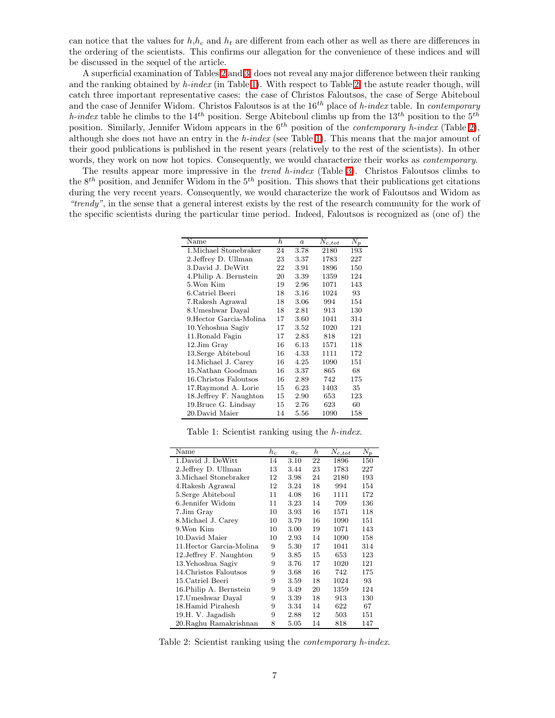can notice that the values for  $h, h_c$  and  $h_t$  are different from each other as well as there are differences in the ordering of the scientists. This confirms our allegation for the convenience of these indices and will be discussed in the sequel of the article.

A superficial examination of Tables [2](#page-6-1) and [3,](#page-7-0) does not reveal any major difference between their ranking and the ranking obtained by *h-index* (in Table [1\)](#page-6-0). With respect to Table [2,](#page-6-1) the astute reader though, will catch three important representative cases: the case of Christos Faloutsos, the case of Serge Abiteboul and the case of Jennifer Widom. Christos Faloutsos is at the 16 th place of *h-index* table. In *contemporary h-index* table he climbs to the  $14^{th}$  position. Serge Abiteboul climbs up from the  $13^{th}$  position to the  $5^{th}$ position. Similarly, Jennifer Widom appears in the  $6<sup>th</sup>$  position of the *contemporary h-index* (Table [2\)](#page-6-1), although she does not have an entry in the *h-index* (see Table [1\)](#page-6-0). This means that the major amount of their good publications is published in the resent years (relatively to the rest of the scientists). In other words, they work on now hot topics. Consequently, we would characterize their works as *contemporary*.

The results appear more impressive in the *trend h-index* (Table [3\)](#page-7-0). Christos Faloutsos climbs to the  $8<sup>th</sup>$  position, and Jennifer Widom in the  $5<sup>th</sup>$  position. This shows that their publications get citations during the very recent years. Consequently, we would characterize the work of Faloutsos and Widom as *"trendy"*, in the sense that a general interest exists by the rest of the research community for the work of the specific scientists during the particular time period. Indeed, Faloutsos is recognized as (one of) the

| Name                    | h  | $\boldsymbol{a}$ | $\overline{N_{c,tot}}$ | $N_p$ |
|-------------------------|----|------------------|------------------------|-------|
| 1. Michael Stonebraker  | 24 | 3.78             | 2180                   | 193   |
| 2. Jeffrey D. Ullman    | 23 | 3.37             | 1783                   | 227   |
| 3. David J. DeWitt      | 22 | 3.91             | 1896                   | 150   |
| 4. Philip A. Bernstein  | 20 | 3.39             | 1359                   | 124   |
| 5. Won Kim              | 19 | 2.96             | 1071                   | 143   |
| 6. Catriel Beeri        | 18 | 3.16             | 1024                   | 93    |
| 7. Rakesh Agrawal       | 18 | 3.06             | 994                    | 154   |
| 8. Umeshwar Dayal       | 18 | 2.81             | 913                    | 130   |
| 9. Hector Garcia-Molina | 17 | 3.60             | 1041                   | 314   |
| 10. Yehoshua Sagiv      | 17 | 3.52             | 1020                   | 121   |
| 11. Ronald Fagin        | 17 | 2.83             | 818                    | 121   |
| 12.Jim Gray             | 16 | 6.13             | 1571                   | 118   |
| 13. Serge Abiteboul     | 16 | 4.33             | 1111                   | 172   |
| 14. Michael J. Carey    | 16 | 4.25             | 1090                   | 151   |
| 15.Nathan Goodman       | 16 | 3.37             | 865                    | 68    |
| 16. Christos Faloutsos  | 16 | 2.89             | 742                    | 175   |
| 17. Raymond A. Lorie    | 15 | 6.23             | 1403                   | 35    |
| 18. Jeffrey F. Naughton | 15 | 2.90             | 653                    | 123   |
| 19. Bruce G. Lindsay    | 15 | 2.76             | 623                    | 60    |
| 20.David Maier          | 14 | $5.56\,$         | 1090                   | 158   |

Table 1: Scientist ranking using the *h-index*.

<span id="page-6-0"></span>

| Name                    | $h_c$ | $a_{c}$  | $\boldsymbol{h}$ | $\overline{N}_{c,tot}$ | $N_p$ |
|-------------------------|-------|----------|------------------|------------------------|-------|
| 1.David J. DeWitt       | 14    | 3.10     | 22               | 1896                   | 150   |
| 2. Jeffrey D. Ullman    | 13    | 3.44     | 23               | 1783                   | 227   |
| 3. Michael Stonebraker  | 12    | 3.98     | 24               | 2180                   | 193   |
| 4. Rakesh Agrawal       | 12    | 3.24     | 18               | 994                    | 154   |
| 5. Serge Abiteboul      | 11    | 4.08     | 16               | 1111                   | 172   |
| 6. Jennifer Widom       | 11    | 3.23     | 14               | 709                    | 136   |
| 7. Jim Gray             | 10    | 3.93     | 16               | 1571                   | 118   |
| 8. Michael J. Carey     | 10    | 3.79     | 16               | 1090                   | 151   |
| 9. Won Kim              | 10    | 3.00     | 19               | 1071                   | 143   |
| 10. David Maier         | 10    | 2.93     | 14               | 1090                   | 158   |
| 11.Hector Garcia-Molina | 9     | 5.30     | 17               | 1041                   | 314   |
| 12. Jeffrey F. Naughton | 9     | 3.85     | 15               | 653                    | 123   |
| 13. Yehoshua Sagiv      | 9     | 3.76     | 17               | 1020                   | 121   |
| 14. Christos Faloutsos  | 9     | $3.68\,$ | 16               | 742                    | 175   |
| 15. Catriel Beeri       | 9     | 3.59     | 18               | 1024                   | 93    |
| 16. Philip A. Bernstein | 9     | 3.49     | 20               | 1359                   | 124   |
| 17. Umeshwar Dayal      | 9     | 3.39     | 18               | 913                    | 130   |
| 18.Hamid Pirahesh       | 9     | 3.34     | 14               | 622                    | 67    |
| 19.H. V. Jagadish       | 9     | $2.88\,$ | 12               | 503                    | 151   |
| 20.Raghu Ramakrishnan   | 8     | 5.05     | 14               | 818                    | 147   |

<span id="page-6-1"></span>Table 2: Scientist ranking using the *contemporary h-index*.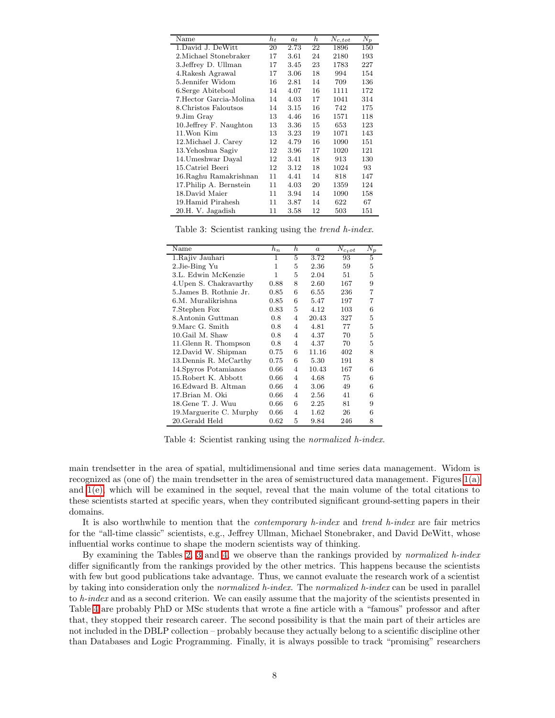| Name                    | $h_t$ | $a_t$ | $\boldsymbol{h}$ | $N_{c,tot}$ | $N_p$ |
|-------------------------|-------|-------|------------------|-------------|-------|
| 1.David J. DeWitt       | 20    | 2.73  | 22               | 1896        | 150   |
| 2. Michael Stonebraker  | 17    | 3.61  | 24               | 2180        | 193   |
| 3. Jeffrey D. Ullman    | 17    | 3.45  | 23               | 1783        | 227   |
| 4. Rakesh Agrawal       | 17    | 3.06  | 18               | 994         | 154   |
| 5.Jennifer Widom        | 16    | 2.81  | 14               | 709         | 136   |
| 6. Serge Abiteboul      | 14    | 4.07  | 16               | 1111        | 172   |
| 7.Hector Garcia-Molina  | 14    | 4.03  | 17               | 1041        | 314   |
| 8. Christos Faloutsos   | 14    | 3.15  | 16               | 742         | 175   |
| 9. Jim Gray             | 13    | 4.46  | 16               | 1571        | 118   |
| 10. Jeffrey F. Naughton | 13    | 3.36  | 15               | 653         | 123   |
| 11. Won Kim             | 13    | 3.23  | 19               | 1071        | 143   |
| 12. Michael J. Carey    | 12    | 4.79  | 16               | 1090        | 151   |
| 13. Yehoshua Sagiv      | 12    | 3.96  | 17               | 1020        | 121   |
| 14. Umeshwar Dayal      | 12    | 3.41  | 18               | 913         | 130   |
| 15. Catriel Beeri       | 12    | 3.12  | 18               | 1024        | 93    |
| 16. Raghu Ramakrishnan  | 11    | 4.41  | 14               | 818         | 147   |
| 17. Philip A. Bernstein | 11    | 4.03  | 20               | 1359        | 124   |
| 18. David Maier         | 11    | 3.94  | 14               | 1090        | 158   |
| 19.Hamid Pirahesh       | 11    | 3.87  | 14               | 622         | 67    |
| 20.H. V. Jagadish       | 11    | 3.58  | 12               | 503         | 151   |

<span id="page-7-0"></span>Table 3: Scientist ranking using the *trend h-index*.

| Name                     | $\mathfrak{h}_n$ | $\boldsymbol{h}$ | $\boldsymbol{a}$ | $\overline{N_{c_{t}ot}}$ | $N_p$ |
|--------------------------|------------------|------------------|------------------|--------------------------|-------|
| 1.Rajiv Jauhari          | 1                | 5                | 3.72             | 93                       | 5     |
| 2.Jie-Bing Yu            | 1                | 5                | 2.36             | 59                       | 5     |
| 3.L. Edwin McKenzie      | 1                | 5                | 2.04             | 51                       | 5     |
| 4. Upen S. Chakravarthy  | 0.88             | 8                | 2.60             | 167                      | 9     |
| 5. James B. Rothnie Jr.  | 0.85             | 6                | 6.55             | 236                      | 7     |
| 6.M. Muralikrishna       | 0.85             | 6                | 5.47             | 197                      | 7     |
| 7. Stephen Fox           | 0.83             | 5                | 4.12             | 103                      | 6     |
| 8. Antonin Guttman       | 0.8              | 4                | 20.43            | 327                      | 5     |
| 9. Marc G. Smith         | 0.8              | $\overline{4}$   | 4.81             | 77                       | 5     |
| 10. Gail M. Shaw         | 0.8              | $\overline{4}$   | 4.37             | 70                       | 5     |
| 11. Glenn R. Thompson    | 0.8              | 4                | 4.37             | 70                       | 5     |
| 12.David W. Shipman      | 0.75             | 6                | 11.16            | 402                      | 8     |
| 13. Dennis R. McCarthy   | 0.75             | 6                | 5.30             | 191                      | 8     |
| 14. Spyros Potamianos    | 0.66             | 4                | 10.43            | 167                      | 6     |
| 15. Robert K. Abbott     | 0.66             | 4                | 4.68             | 75                       | 6     |
| 16. Edward B. Altman     | 0.66             | 4                | 3.06             | 49                       | 6     |
| 17. Brian M. Oki         | 0.66             | 4                | 2.56             | 41                       | 6     |
| 18. Gene T. J. Wuu       | 0.66             | 6                | 2.25             | 81                       | 9     |
| 19. Marguerite C. Murphy | 0.66             | 4                | 1.62             | 26                       | 6     |
| 20.Gerald Held           | 0.62             | 5                | 9.84             | 246                      | 8     |

<span id="page-7-1"></span>Table 4: Scientist ranking using the *normalized h-index*.

main trendsetter in the area of spatial, multidimensional and time series data management. Widom is recognized as (one of) the main trendsetter in the area of semistructured data management. Figures [1\(a\)](#page-9-0) and [1\(e\),](#page-9-1) which will be examined in the sequel, reveal that the main volume of the total citations to these scientists started at specific years, when they contributed significant ground-setting papers in their domains.

It is also worthwhile to mention that the *contemporary h-index* and *trend h-index* are fair metrics for the "all-time classic" scientists, e.g., Jeffrey Ullman, Michael Stonebraker, and David DeWitt, whose influential works continue to shape the modern scientists way of thinking.

By examining the Tables [2,](#page-6-1) [3](#page-7-0) and [4,](#page-7-1) we observe than the rankings provided by *normalized h-index* differ significantly from the rankings provided by the other metrics. This happens because the scientists with few but good publications take advantage. Thus, we cannot evaluate the research work of a scientist by taking into consideration only the *normalized h-index*. The *normalized h-index* can be used in parallel to *h-index* and as a second criterion. We can easily assume that the majority of the scientists presented in Table [4](#page-7-1) are probably PhD or MSc students that wrote a fine article with a "famous" professor and after that, they stopped their research career. The second possibility is that the main part of their articles are not included in the DBLP collection – probably because they actually belong to a scientific discipline other than Databases and Logic Programming. Finally, it is always possible to track "promising" researchers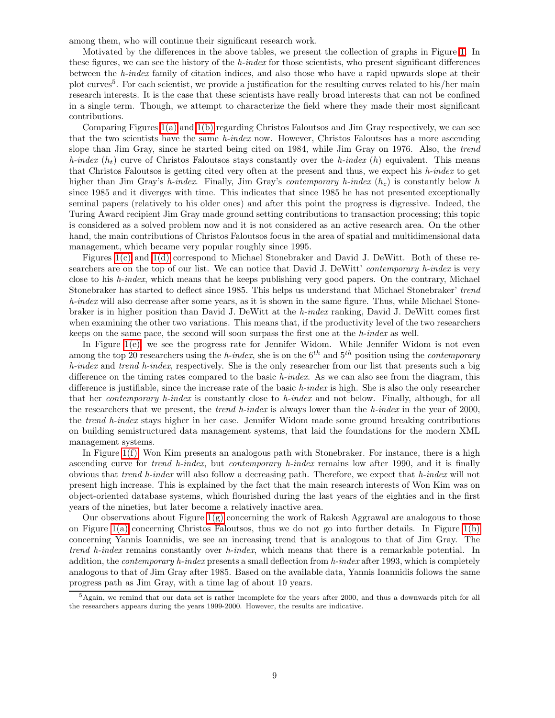among them, who will continue their significant research work.

Motivated by the differences in the above tables, we present the collection of graphs in Figure [1.](#page-9-2) In these figures, we can see the history of the *h-index* for those scientists, who present significant differences between the *h-index* family of citation indices, and also those who have a rapid upwards slope at their plot curves<sup>5</sup>. For each scientist, we provide a justification for the resulting curves related to his/her main research interests. It is the case that these scientists have really broad interests that can not be confined in a single term. Though, we attempt to characterize the field where they made their most significant contributions.

Comparing Figures [1\(a\)](#page-9-0) and [1\(b\)](#page-9-3) regarding Christos Faloutsos and Jim Gray respectively, we can see that the two scientists have the same *h-index* now. However, Christos Faloutsos has a more ascending slope than Jim Gray, since he started being cited on 1984, while Jim Gray on 1976. Also, the *trend h-index*  $(h_t)$  curve of Christos Faloutsos stays constantly over the *h-index*  $(h)$  equivalent. This means that Christos Faloutsos is getting cited very often at the present and thus, we expect his *h-index* to get higher than Jim Gray's *h-index*. Finally, Jim Gray's *contemporary h-index*  $(h_c)$  is constantly below h since 1985 and it diverges with time. This indicates that since 1985 he has not presented exceptionally seminal papers (relatively to his older ones) and after this point the progress is digressive. Indeed, the Turing Award recipient Jim Gray made ground setting contributions to transaction processing; this topic is considered as a solved problem now and it is not considered as an active research area. On the other hand, the main contributions of Christos Faloutsos focus in the area of spatial and multidimensional data management, which became very popular roughly since 1995.

Figures [1\(c\)](#page-9-4) and [1\(d\)](#page-9-5) correspond to Michael Stonebraker and David J. DeWitt. Both of these researchers are on the top of our list. We can notice that David J. DeWitt' *contemporary h-index* is very close to his *h-index*, which means that he keeps publishing very good papers. On the contrary, Michael Stonebraker has started to deflect since 1985. This helps us understand that Michael Stonebraker' *trend h-index* will also decrease after some years, as it is shown in the same figure. Thus, while Michael Stonebraker is in higher position than David J. DeWitt at the *h-index* ranking, David J. DeWitt comes first when examining the other two variations. This means that, if the productivity level of the two researchers keeps on the same pace, the second will soon surpass the first one at the *h-index* as well.

In Figure [1\(e\),](#page-9-1) we see the progress rate for Jennifer Widom. While Jennifer Widom is not even among the top 20 researchers using the *h-index*, she is on the 6th and 5th position using the *contemporary h-index* and *trend h-index*, respectively. She is the only researcher from our list that presents such a big difference on the timing rates compared to the basic *h-index*. As we can also see from the diagram, this difference is justifiable, since the increase rate of the basic *h-index* is high. She is also the only researcher that her *contemporary h-index* is constantly close to *h-index* and not below. Finally, although, for all the researchers that we present, the *trend h-index* is always lower than the *h-index* in the year of 2000, the *trend h-index* stays higher in her case. Jennifer Widom made some ground breaking contributions on building semistructured data management systems, that laid the foundations for the modern XML management systems.

In Figure [1\(f\),](#page-9-6) Won Kim presents an analogous path with Stonebraker. For instance, there is a high ascending curve for *trend h-index*, but *contemporary h-index* remains low after 1990, and it is finally obvious that *trend h-index* will also follow a decreasing path. Therefore, we expect that *h-index* will not present high increase. This is explained by the fact that the main research interests of Won Kim was on object-oriented database systems, which flourished during the last years of the eighties and in the first years of the nineties, but later become a relatively inactive area.

Our observations about Figure [1\(g\)](#page-9-7) concerning the work of Rakesh Aggrawal are analogous to those on Figure  $1(a)$  concerning Christos Faloutsos, thus we do not go into further details. In Figure  $1(h)$ concerning Yannis Ioannidis, we see an increasing trend that is analogous to that of Jim Gray. The *trend h-index* remains constantly over *h-index*, which means that there is a remarkable potential. In addition, the *contemporary h-index* presents a small deflection from *h-index* after 1993, which is completely analogous to that of Jim Gray after 1985. Based on the available data, Yannis Ioannidis follows the same progress path as Jim Gray, with a time lag of about 10 years.

<sup>5</sup>Again, we remind that our data set is rather incomplete for the years after 2000, and thus a downwards pitch for all the researchers appears during the years 1999-2000. However, the results are indicative.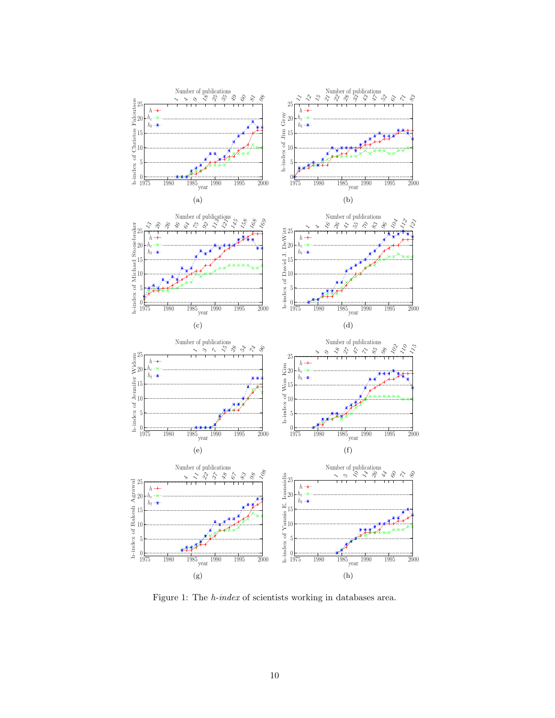<span id="page-9-5"></span><span id="page-9-4"></span><span id="page-9-3"></span><span id="page-9-0"></span>

<span id="page-9-8"></span><span id="page-9-7"></span><span id="page-9-6"></span><span id="page-9-2"></span><span id="page-9-1"></span>Figure 1: The *h-index* of scientists working in databases area.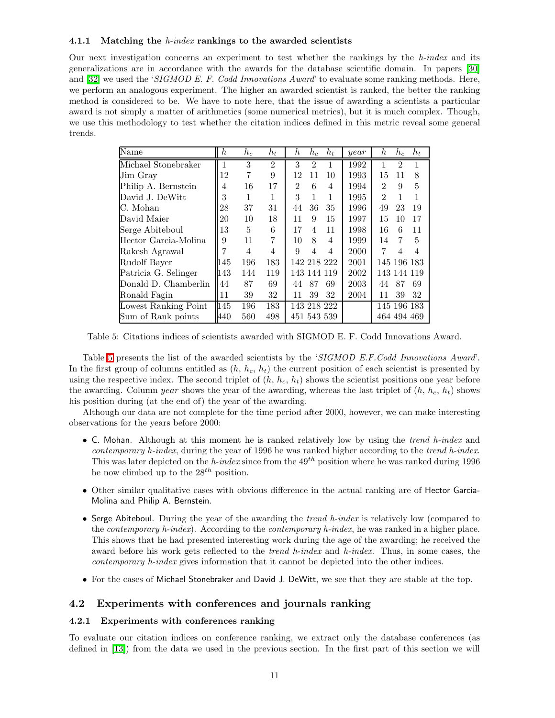### 4.1.1 Matching the *h-index* rankings to the awarded scientists

Our next investigation concerns an experiment to test whether the rankings by the *h-index* and its generalizations are in accordance with the awards for the database scientific domain. In papers [\[30\]](#page-18-9) and [\[32\]](#page-18-10) we used the '*SIGMOD E. F. Codd Innovations Award*' to evaluate some ranking methods. Here, we perform an analogous experiment. The higher an awarded scientist is ranked, the better the ranking method is considered to be. We have to note here, that the issue of awarding a scientists a particular award is not simply a matter of arithmetics (some numerical metrics), but it is much complex. Though, we use this methodology to test whether the citation indices defined in this metric reveal some general trends.

| Name                 | $\hbar$ | $h_c$ | $h_t$          | $\hbar$<br>$h_c$<br>$h_t$ | year | $\hbar$<br>$h_c$<br>$h_t$ |
|----------------------|---------|-------|----------------|---------------------------|------|---------------------------|
| Michael Stonebraker  | 1       | 3     | $\overline{2}$ | 3<br>$\mathfrak{D}$       | 1992 | $\overline{2}$<br>1<br>1  |
| Jim Grav             | 12      | 7     | 9              | 12<br>10<br>11            | 1993 | 8<br>15<br>11             |
| Philip A. Bernstein  | 4       | 16    | 17             | $\mathfrak{D}$<br>6<br>4  | 1994 | 5<br>$\overline{2}$<br>9  |
| David J. DeWitt      | 3       | 1     | 1              | 3<br>1<br>1               | 1995 | $\overline{2}$<br>1<br>1  |
| C. Mohan             | 28      | 37    | 31             | 36<br>35<br>44            | 1996 | 49<br>23<br>19            |
| David Maier          | 20      | 10    | 18             | 15<br>11<br>9             | 1997 | 17<br>15<br>10            |
| Serge Abiteboul      | 13      | 5     | 6              | 17<br>4<br>11             | 1998 | 16<br>11<br>6             |
| Hector Garcia-Molina | 9       | 11    | $\overline{7}$ | 10<br>8<br>4              | 1999 | 5<br>7<br>14              |
| Rakesh Agrawal       | 7       | 4     | 4              | 9<br>4<br>4               | 2000 | 7<br>4<br>4               |
| Rudolf Bayer         | 145     | 196   | 183            | 142 218 222               | 2001 | 145 196 183               |
| Patricia G. Selinger | 143     | 144   | 119            | 143 144 119               | 2002 | 143 144 119               |
| Donald D. Chamberlin | 44      | 87    | 69             | 87<br>69<br>44            | 2003 | 69<br>87<br>44            |
| Ronald Fagin         | 11      | 39    | 32             | 32<br>11<br>39            | 2004 | 32<br>39<br>11            |
| Lowest Ranking Point | 145     | 196   | 183            | 143 218 222               |      | 145 196 183               |
| Sum of Rank points   | 440     | 560   | 498            | 451 543 539               |      | 464 494 469               |

Table 5: Citations indices of scientists awarded with SIGMOD E. F. Codd Innovations Award.

<span id="page-10-0"></span>Table [5](#page-10-0) presents the list of the awarded scientists by the '*SIGMOD E.F.Codd Innovations Award*'. In the first group of columns entitled as  $(h, h_c, h_t)$  the current position of each scientist is presented by using the respective index. The second triplet of  $(h, h_c, h_t)$  shows the scientist positions one year before the awarding. Column year shows the year of the awarding, whereas the last triplet of  $(h, h_c, h_t)$  shows his position during (at the end of) the year of the awarding.

Although our data are not complete for the time period after 2000, however, we can make interesting observations for the years before 2000:

- C. Mohan. Although at this moment he is ranked relatively low by using the *trend h-index* and *contemporary h-index*, during the year of 1996 he was ranked higher according to the *trend h-index*. This was later depicted on the *h-index* since from the 49th position where he was ranked during 1996 he now climbed up to the  $28^{th}$  position.
- Other similar qualitative cases with obvious difference in the actual ranking are of Hector Garcia-Molina and Philip A. Bernstein.
- Serge Abiteboul. During the year of the awarding the *trend h-index* is relatively low (compared to the *contemporary h-index*). According to the *contemporary h-index*, he was ranked in a higher place. This shows that he had presented interesting work during the age of the awarding; he received the award before his work gets reflected to the *trend h-index* and *h-index*. Thus, in some cases, the *contemporary h-index* gives information that it cannot be depicted into the other indices.
- For the cases of Michael Stonebraker and David J. DeWitt, we see that they are stable at the top.

### 4.2 Experiments with conferences and journals ranking

### 4.2.1 Experiments with conferences ranking

To evaluate our citation indices on conference ranking, we extract only the database conferences (as defined in [\[13\]](#page-17-7)) from the data we used in the previous section. In the first part of this section we will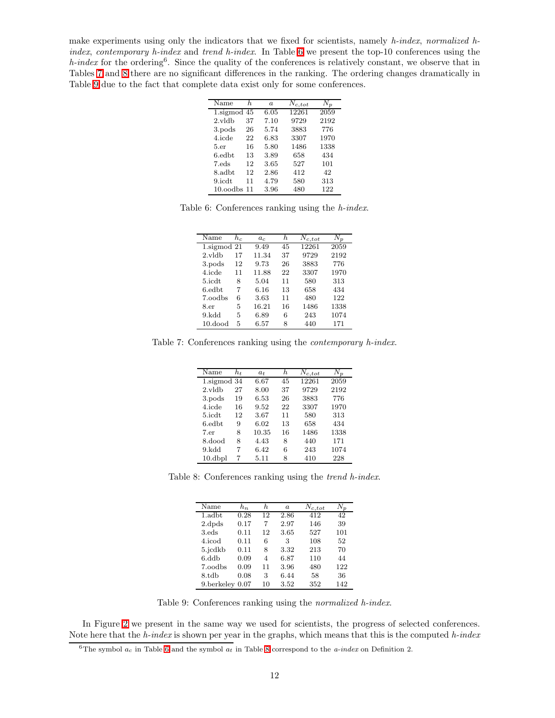make experiments using only the indicators that we fixed for scientists, namely *h-index*, *normalized hindex*, *contemporary h-index* and *trend h-index*. In Table [6](#page-11-0) we present the top-10 conferences using the *h-index* for the ordering<sup>6</sup>. Since the quality of the conferences is relatively constant, we observe that in Tables [7](#page-11-1) and [8](#page-11-2) there are no significant differences in the ranking. The ordering changes dramatically in Table [9](#page-11-3) due to the fact that complete data exist only for some conferences.

| Name             | h. | $\boldsymbol{a}$ | $N_{c,tot}$ |      |
|------------------|----|------------------|-------------|------|
| $1$ .sigmod $45$ |    | 6.05             | 12261       | 2059 |
| $2$ , vldb       | 37 | 7.10             | 9729        | 2192 |
| 3. pods          | 26 | 5.74             | 3883        | 776  |
| 4.icde           | 22 | 6.83             | 3307        | 1970 |
| 5.er             | 16 | 5.80             | 1486        | 1338 |
| $6.$ edbt        | 13 | 3.89             | 658         | 434  |
| 7.eds            | 12 | 3.65             | 527         | 101  |
| 8.adbt           | 12 | 2.86             | 412         | 42   |
| 9.icdt           | 11 | 4.79             | 580         | 313  |
| $10.00$ dbs $11$ |    | 3.96             | 480         | 122  |

<span id="page-11-0"></span>Table 6: Conferences ranking using the *h-index*.

| Name            | $h_c$ | $a_c$ | h. | $N_{c,tot}$ | $N_{\bm{p}}$ |
|-----------------|-------|-------|----|-------------|--------------|
| $1$ sigmod $21$ |       | 9.49  | 45 | 12261       | 2059         |
| $2$ , vldb      | 17    | 11.34 | 37 | 9729        | 2192         |
| 3.pods          | 12    | 9.73  | 26 | 3883        | 776          |
| 4.icde          | 11    | 11.88 | 22 | 3307        | 1970         |
| $5$ .icdt       | 8     | 5.04  | 11 | 580         | 313          |
| $6.$ edbt       | 7     | 6.16  | 13 | 658         | 434          |
| 7.oodbs         | 6     | 3.63  | 11 | 480         | 122          |
| 8.er            | 5     | 16.21 | 16 | 1486        | 1338         |
| 9.kdd           | 5     | 6.89  | 6  | 243         | 1074         |
| $10$ .dood      | 5     | 6.57  | 8  | 440         | 171          |

<span id="page-11-1"></span>Table 7: Conferences ranking using the *contemporary h-index*.

| Name             | ht | $a_t$ | h  | $N_{c,tot}$ | $N_{\bm{p}}$ |
|------------------|----|-------|----|-------------|--------------|
| $1$ .sigmod $34$ |    | 6.67  | 45 | 12261       | 2059         |
| $2$ , vldb       | 27 | 8.00  | 37 | 9729        | 2192         |
| 3.pods           | 19 | 6.53  | 26 | 3883        | 776          |
| 4.icde           | 16 | 9.52  | 22 | 3307        | 1970         |
| $5$ .icdt        | 12 | 3.67  | 11 | 580         | 313          |
| $6.$ edbt        | 9  | 6.02  | 13 | 658         | 434          |
| 7.er             | 8  | 10.35 | 16 | 1486        | 1338         |
| 8.dood           | 8  | 4.43  | 8  | 440         | 171          |
| $9. \text{kdd}$  | 7  | 6.42  | 6  | 243         | 1074         |
| $10.$ d $b$ pl   | 7  | 5.11  | 8  | 410         | 228          |

<span id="page-11-2"></span>Table 8: Conferences ranking using the *trend h-index*.

| Name            | $h_n$ | h.                       | $\alpha$ | c,tot |     |
|-----------------|-------|--------------------------|----------|-------|-----|
| 1.adbt          | 0.28  | 12                       | 2.86     | 412   | 42  |
| 2.dpds          | 0.17  | 7                        | 2.97     | 146   | 39  |
| 3.eds           | 0.11  | 12                       | 3.65     | 527   | 101 |
| 4.icod          | 0.11  | 6                        | 3        | 108   | 52  |
| 5. jcdkb        | 0.11  | 8                        | 3.32     | 213   | 70  |
| $6$ .ddb        | 0.09  | $\overline{\mathcal{A}}$ | 6.87     | 110   | 44  |
| 7.oodbs         | 0.09  | 11                       | 3.96     | 480   | 122 |
| 8.tdb           | 0.08  | 3                        | 6.44     | 58    | 36  |
| 9.berkeley 0.07 |       | 10                       | 3.52     | 352   | 142 |

<span id="page-11-3"></span>Table 9: Conferences ranking using the *normalized h-index*.

In Figure [2](#page-12-0) we present in the same way we used for scientists, the progress of selected conferences. Note here that the *h-index* is shown per year in the graphs, which means that this is the computed *h-index*

<sup>6</sup>The symbol  $a_c$  in Table [6](#page-11-0) and the symbol  $a_t$  in Table [8](#page-11-2) correspond to the *a-index* on Definition 2.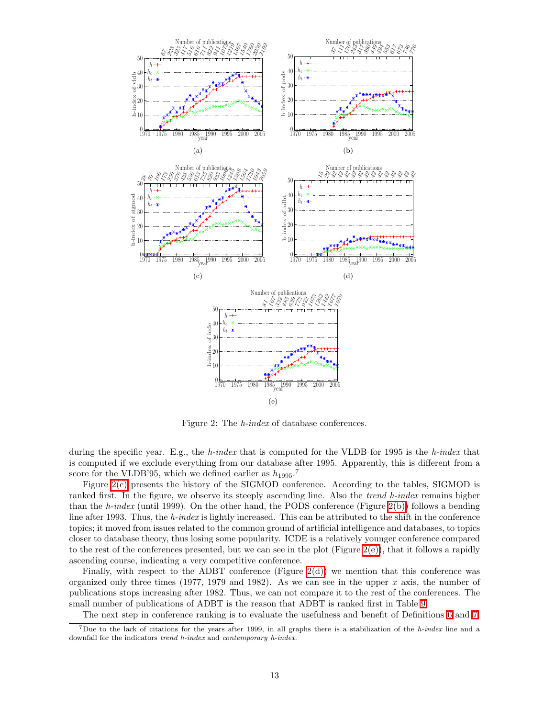<span id="page-12-2"></span>

<span id="page-12-4"></span><span id="page-12-3"></span><span id="page-12-0"></span>Figure 2: The *h-index* of database conferences.

<span id="page-12-1"></span>during the specific year. E.g., the *h-index* that is computed for the VLDB for 1995 is the *h-index* that is computed if we exclude everything from our database after 1995. Apparently, this is different from a score for the VLDB'95, which we defined earlier as  $h_{1995}$ .<sup>7</sup>

Figure [2\(c\)](#page-12-1) presents the history of the SIGMOD conference. According to the tables, SIGMOD is ranked first. In the figure, we observe its steeply ascending line. Also the *trend h-index* remains higher than the *h-index* (until 1999). On the other hand, the PODS conference (Figure [2\(b\)\)](#page-12-2) follows a bending line after 1993. Thus, the *h-index* is lightly increased. This can be attributed to the shift in the conference topics; it moved from issues related to the common ground of artificial intelligence and databases, to topics closer to database theory, thus losing some popularity. ICDE is a relatively younger conference compared to the rest of the conferences presented, but we can see in the plot (Figure [2\(e\)\)](#page-12-3), that it follows a rapidly ascending course, indicating a very competitive conference.

Finally, with respect to the ADBT conference (Figure  $2(d)$ ) we mention that this conference was organized only three times (1977, 1979 and 1982). As we can see in the upper  $x$  axis, the number of publications stops increasing after 1982. Thus, we can not compare it to the rest of the conferences. The small number of publications of ADBT is the reason that ADBT is ranked first in Table [9.](#page-11-3)

The next step in conference ranking is to evaluate the usefulness and benefit of Definitions [6](#page-4-1) and [7.](#page-4-2)

<sup>&</sup>lt;sup>7</sup>Due to the lack of citations for the years after 1999, in all graphs there is a stabilization of the *h*-index line and a downfall for the indicators trend h-index and contemporary h-index.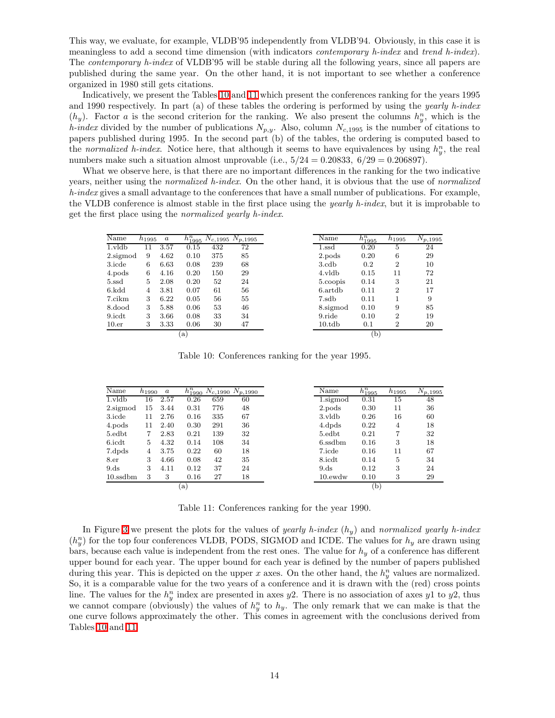This way, we evaluate, for example, VLDB'95 independently from VLDB'94. Obviously, in this case it is meaningless to add a second time dimension (with indicators *contemporary h-index* and *trend h-index*). The *contemporary h-index* of VLDB'95 will be stable during all the following years, since all papers are published during the same year. On the other hand, it is not important to see whether a conference organized in 1980 still gets citations.

Indicatively, we present the Tables [10](#page-13-0) and [11](#page-13-1) which present the conferences ranking for the years 1995 and 1990 respectively. In part (a) of these tables the ordering is performed by using the *yearly h-index*  $(h_y)$ . Factor a is the second criterion for the ranking. We also present the columns  $h_y^n$ , which is the *h-index* divided by the number of publications  $N_{p,y}$ . Also, column  $N_{c,1995}$  is the number of citations to papers published during 1995. In the second part (b) of the tables, the ordering is computed based to the *normalized h-index*. Notice here, that although it seems to have equivalences by using  $h_y^n$ , the real numbers make such a situation almost unprovable (i.e.,  $5/24 = 0.20833$ ,  $6/29 = 0.206897$ ).

What we observe here, is that there are no important differences in the ranking for the two indicative years, neither using the *normalized h-index*. On the other hand, it is obvious that the use of *normalized h-index* gives a small advantage to the conferences that have a small number of publications. For example, the VLDB conference is almost stable in the first place using the *yearly h-index*, but it is improbable to get the first place using the *normalized yearly h-index*.

| Name                 | $h_{1995}$ | $\boldsymbol{a}$ | $h_{1995}^{\overline{n}}$ |     | $N_{c,1995} N_{p,1995}$ | Name      | $h_{1995}^{n}$ | $h_{1995}$     | $N_{p,1995}$ |
|----------------------|------------|------------------|---------------------------|-----|-------------------------|-----------|----------------|----------------|--------------|
| 1.vldb               | 11         | 3.57             | 0.15                      | 432 | 72                      | $1$ .ssd  | 0.20           | 5              | 24           |
| 2.sigmod             | 9          | 4.62             | 0.10                      | 375 | 85                      | 2.pods    | 0.20           | 6              | 29           |
| $3.\mathrm{icde}$    | 6          | 6.63             | 0.08                      | 239 | 68                      | 3.cdb     | 0.2            | $\overline{2}$ | 10           |
| 4.pods               | 6          | 4.16             | 0.20                      | 150 | 29                      | 4.vldb    | 0.15           | 11             | 72           |
| $5.\mathrm{ssd}$     | 5          | 2.08             | 0.20                      | 52  | 24                      | 5. coopis | 0.14           | 3              | 21           |
| 6.kdd                | 4          | 3.81             | 0.07                      | 61  | 56                      | 6.artdb   | 0.11           | $\overline{2}$ | 17           |
| 7.cikm               | 3          | 6.22             | 0.05                      | 56  | 55                      | 7.sdb     | 0.11           |                | 9            |
| $8.\mathbf{d}$ ood   | 3          | 5.88             | 0.06                      | 53  | 46                      | 8.sigmod  | 0.10           | 9              | 85           |
| $_{9.\mathrm{icdt}}$ | 3          | 3.66             | 0.08                      | 33  | 34                      | 9.ride    | 0.10           | $\overline{2}$ | 19           |
| $10.$ er             | 3          | 3.33             | 0.06                      | 30  | 47                      | 10.tdb    | 0.1            | 2              | 20           |
|                      |            |                  | $\alpha$                  |     |                         |           | (b)            |                |              |

<span id="page-13-0"></span>Table 10: Conferences ranking for the year 1995.

| Name                 | $h_{1990}$ | $\boldsymbol{a}$ | $h_{1990}^{\overline{n}}$ . |     | $\overline{N_{c}},_{1990} N_{p,1990}$ | Name                 | $h_{1995}^n$ | $h_{1995}$ | $N_{p,1995}$ |
|----------------------|------------|------------------|-----------------------------|-----|---------------------------------------|----------------------|--------------|------------|--------------|
| $1$ .vldb            | 16         | 2.57             | 0.26                        | 659 | 60                                    | $1.\mathrm{sigmoid}$ | 0.31         | 15         | 48           |
| $2.\mathrm{sigmoid}$ | 15         | 3.44             | 0.31                        | 776 | 48                                    | 2.pods               | 0.30         | 11         | 36           |
| $3.\mathrm{icde}$    | 11         | 2.76             | 0.16                        | 335 | 67                                    | 3. vldb              | 0.26         | 16         | 60           |
| 4.pods               | 11         | 2.40             | 0.30                        | 291 | 36                                    | $4 \text{ dpds}$     | 0.22         | 4          | 18           |
| $5.\text{edbt}$      | 7          | 2.83             | 0.21                        | 139 | 32                                    | 5.edbt               | 0.21         | 7          | 32           |
| $6.\mathrm{icdt}$    | 5          | 4.32             | 0.14                        | 108 | 34                                    | 6.ssdbm              | 0.16         | 3          | 18           |
| 7.dpds               | 4          | 3.75             | 0.22                        | 60  | 18                                    | 7.icde               | 0.16         | 11         | 67           |
| 8.er                 | 3          | 4.66             | 0.08                        | 42  | 35                                    | 8.icdt               | 0.14         | 5          | 34           |
| $9.\mathrm{ds}$      | 3          | 4.11             | 0.12                        | 37  | 24                                    | 9. d s               | 0.12         | 3          | 24           |
| $10$ .ssdbm          | 3          | 3                | 0.16                        | 27  | 18                                    | $10$ .ewdw           | 0.10         | 3          | 29           |
|                      |            |                  | $\left(a\right)$            |     |                                       |                      | (b)          |            |              |

<span id="page-13-1"></span>Table 11: Conferences ranking for the year 1990.

In Figure [3](#page-14-0) we present the plots for the values of *yearly h-index* (hy) and *normalized yearly h-index*  $(h_y^n)$  for the top four conferences VLDB, PODS, SIGMOD and ICDE. The values for  $h_y$  are drawn using bars, because each value is independent from the rest ones. The value for  $h_y$  of a conference has different upper bound for each year. The upper bound for each year is defined by the number of papers published during this year. This is depicted on the upper x axes. On the other hand, the  $h_y^n$  values are normalized. So, it is a comparable value for the two years of a conference and it is drawn with the (red) cross points line. The values for the  $h_y^n$  index are presented in axes y2. There is no association of axes y1 to y2, thus we cannot compare (obviously) the values of  $h_y^n$  to  $h_y$ . The only remark that we can make is that the one curve follows approximately the other. This comes in agreement with the conclusions derived from Tables [10](#page-13-0) and [11.](#page-13-1)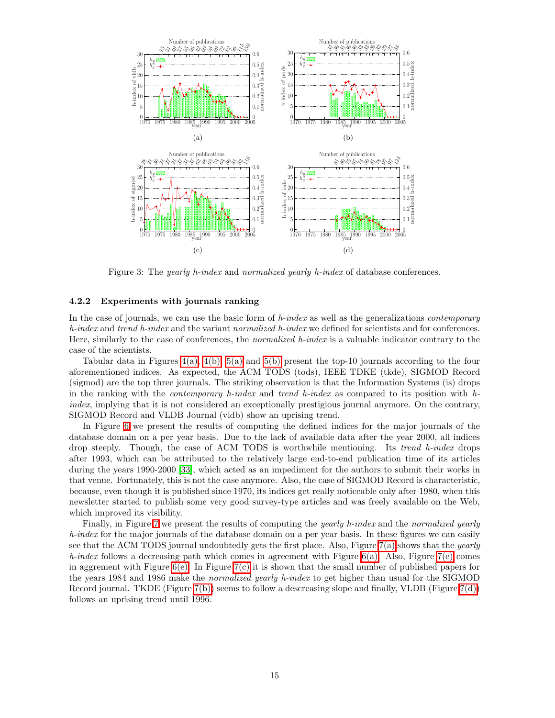

<span id="page-14-0"></span>Figure 3: The *yearly h-index* and *normalized yearly h-index* of database conferences.

#### 4.2.2 Experiments with journals ranking

In the case of journals, we can use the basic form of *h-index* as well as the generalizations *contemporary h-index* and *trend h-index* and the variant *normalized h-index* we defined for scientists and for conferences. Here, similarly to the case of conferences, the *normalized h-index* is a valuable indicator contrary to the case of the scientists.

Tabular data in Figures [4\(a\),](#page-15-1) [4\(b\),](#page-15-2) [5\(a\)](#page-15-3) and [5\(b\)](#page-15-4) present the top-10 journals according to the four aforementioned indices. As expected, the ACM TODS (tods), IEEE TDKE (tkde), SIGMOD Record (sigmod) are the top three journals. The striking observation is that the Information Systems (is) drops in the ranking with the *contemporary h-index* and *trend h-index* as compared to its position with *hindex*, implying that it is not considered an exceptionally prestigious journal anymore. On the contrary, SIGMOD Record and VLDB Journal (vldb) show an uprising trend.

In Figure [6](#page-16-7) we present the results of computing the defined indices for the major journals of the database domain on a per year basis. Due to the lack of available data after the year 2000, all indices drop steeply. Though, the case of ACM TODS is worthwhile mentioning. Its *trend h-index* drops after 1993, which can be attributed to the relatively large end-to-end publication time of its articles during the years 1990-2000 [\[33\]](#page-18-17), which acted as an impediment for the authors to submit their works in that venue. Fortunately, this is not the case anymore. Also, the case of SIGMOD Record is characteristic, because, even though it is published since 1970, its indices get really noticeable only after 1980, when this newsletter started to publish some very good survey-type articles and was freely available on the Web, which improved its visibility.

Finally, in Figure [7](#page-17-8) we present the results of computing the *yearly h-index* and the *normalized yearly h-index* for the major journals of the database domain on a per year basis. In these figures we can easily see that the ACM TODS journal undoubtedly gets the first place. Also, Figure [7\(a\)](#page-17-9) shows that the *yearly h-index* follows a decreasing path which comes in agreement with Figure [6\(a\).](#page-16-8) Also, Figure [7\(e\)](#page-17-10) comes in aggrement with Figure  $6(e)$ . In Figure [7\(c\)](#page-17-11) it is shown that the small number of published papers for the years 1984 and 1986 make the *normalized yearly h-index* to get higher than usual for the SIGMOD Record journal. TKDE (Figure [7\(b\)\)](#page-17-12) seems to follow a descreasing slope and finally, VLDB (Figure [7\(d\)\)](#page-17-13) follows an uprising trend until 1996.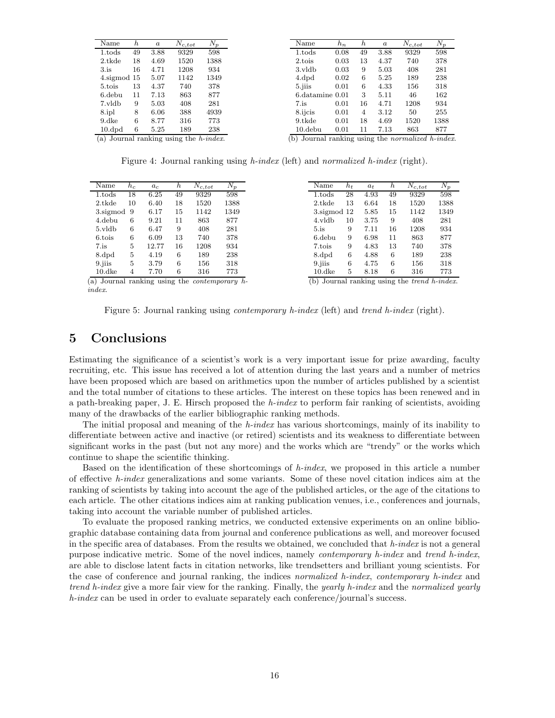<span id="page-15-2"></span><span id="page-15-1"></span>

| Name                                      | n  | a    | $N_{c,tot}$ | $N_p$ | Name                                                      | $h_n$ | h              | $\boldsymbol{a}$ | $N_{c,tot}$ |  |
|-------------------------------------------|----|------|-------------|-------|-----------------------------------------------------------|-------|----------------|------------------|-------------|--|
| $1.$ tods                                 | 49 | 3.88 | 9329        | 598   | 1.tods                                                    | 0.08  | 49             | 3.88             | 9329        |  |
| 2.tkde                                    | 18 | 4.69 | 1520        | 1388  | 2.tois                                                    | 0.03  | 13             | 4.37             | 740         |  |
| 3.is                                      | 16 | 4.71 | 1208        | 934   | 3.vldb                                                    | 0.03  | 9              | 5.03             | 408         |  |
| $4.\mathrm{sigmoid}$ 15                   |    | 5.07 | 1142        | 1349  | $4.$ dpd                                                  | 0.02  | 6              | 5.25             | 189         |  |
| 5.tois                                    | 13 | 4.37 | 740         | 378   | 5.jiis                                                    | 0.01  | 6              | 4.33             | 156         |  |
| $6$ .debu                                 | 11 | 7.13 | 863         | 877   | $6$ .datamine $0.01$                                      |       | 3              | 5.11             | 46          |  |
| 7.vldb                                    | 9  | 5.03 | 408         | 281   | 7.is                                                      | 0.01  | 16             | 4.71             | 1208        |  |
| 8.ipl                                     | 8  | 6.06 | 388         | 4939  | 8.ijcis                                                   | 0.01  | $\overline{4}$ | 3.12             | 50          |  |
| $9.\mathrm{dke}$                          | 6  | 8.77 | 316         | 773   | 9.tkde                                                    | 0.01  | 18             | 4.69             | 1520        |  |
| $10 \text{.}$ d $p$ d                     | 6  | 5.25 | 189         | 238   | $10.$ debu                                                | 0.01  | 11             | 7.13             | 863         |  |
| (a) Journal ranking using the $h$ -index. |    |      |             |       | Journal ranking using the <i>normalized</i> h-index<br>b) |       |                |                  |             |  |

<span id="page-15-4"></span>Figure 4: Journal ranking using *h-index* (left) and *normalized h-index* (right).

<span id="page-15-3"></span>

| Name                                                    | $h_c$ | $a_c$ | <i>n</i> | $N_{c,tot}$ | $N_p$ |
|---------------------------------------------------------|-------|-------|----------|-------------|-------|
| $1.$ tods                                               | 18    | 6.25  | 49       | 9329        | 598   |
| $2.\text{tkde}$                                         | 10    | 6.40  | 18       | 1520        | 1388  |
| $3.\sigma$ sigmod $9$                                   |       | 6.17  | 15       | 1142        | 1349  |
| $4.\text{debu}$                                         | 6     | 9.21  | 11       | 863         | 877   |
| 5.vldb                                                  | 6     | 6.47  | 9        | 408         | 281   |
| 6.tois                                                  | 6     | 6.09  | 13       | 740         | 378   |
| 7.is                                                    | 5     | 12.77 | 16       | 1208        | 934   |
| 8.dpd                                                   | 5     | 4.19  | 6        | 189         | 238   |
| $9.$ jiis                                               | 5     | 3.79  | 6        | 156         | 318   |
| $10.$ dke                                               | 4     | 7.70  | 6        | 316         | 773   |
| (a) Journal ranking using the <i>contemporary</i> $h$ - |       |       |          |             |       |

index.

Figure 5: Journal ranking using *contemporary h-index* (left) and *trend h-index* (right).

### <span id="page-15-0"></span>5 Conclusions

Estimating the significance of a scientist's work is a very important issue for prize awarding, faculty recruiting, etc. This issue has received a lot of attention during the last years and a number of metrics have been proposed which are based on arithmetics upon the number of articles published by a scientist and the total number of citations to these articles. The interest on these topics has been renewed and in a path-breaking paper, J. E. Hirsch proposed the *h-index* to perform fair ranking of scientists, avoiding many of the drawbacks of the earlier bibliographic ranking methods.

The initial proposal and meaning of the *h-index* has various shortcomings, mainly of its inability to differentiate between active and inactive (or retired) scientists and its weakness to differentiate between significant works in the past (but not any more) and the works which are "trendy" or the works which continue to shape the scientific thinking.

Based on the identification of these shortcomings of *h-index*, we proposed in this article a number of effective *h-index* generalizations and some variants. Some of these novel citation indices aim at the ranking of scientists by taking into account the age of the published articles, or the age of the citations to each article. The other citations indices aim at ranking publication venues, i.e., conferences and journals, taking into account the variable number of published articles.

To evaluate the proposed ranking metrics, we conducted extensive experiments on an online bibliographic database containing data from journal and conference publications as well, and moreover focused in the specific area of databases. From the results we obtained, we concluded that *h-index* is not a general purpose indicative metric. Some of the novel indices, namely *contemporary h-index* and *trend h-index*, are able to disclose latent facts in citation networks, like trendsetters and brilliant young scientists. For the case of conference and journal ranking, the indices *normalized h-index*, *contemporary h-index* and *trend h-index* give a more fair view for the ranking. Finally, the *yearly h-index* and the *normalized yearly h-index* can be used in order to evaluate separately each conference/journal's success.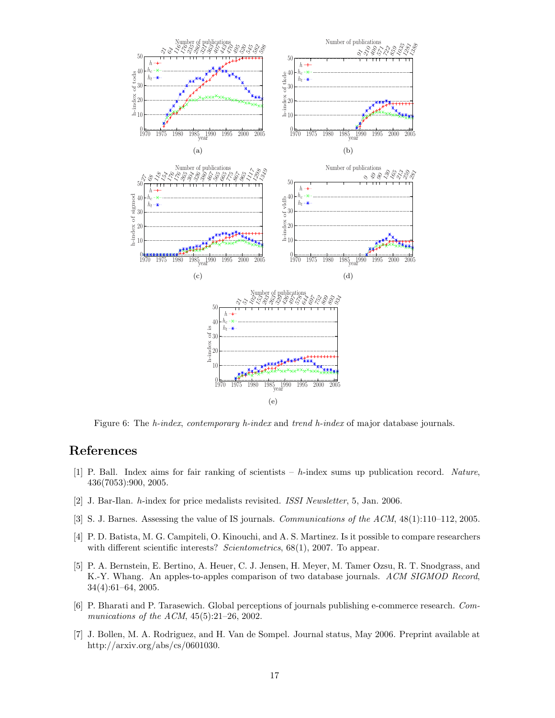<span id="page-16-8"></span>

<span id="page-16-9"></span><span id="page-16-7"></span>Figure 6: The *h-index*, *contemporary h-index* and *trend h-index* of major database journals.

## <span id="page-16-4"></span>References

- [1] P. Ball. Index aims for fair ranking of scientists h-index sums up publication record. *Nature*, 436(7053):900, 2005.
- <span id="page-16-5"></span><span id="page-16-0"></span>[2] J. Bar-Ilan. h-index for price medalists revisited. *ISSI Newsletter*, 5, Jan. 2006.
- <span id="page-16-6"></span>[3] S. J. Barnes. Assessing the value of IS journals. *Communications of the ACM*, 48(1):110–112, 2005.
- [4] P. D. Batista, M. G. Campiteli, O. Kinouchi, and A. S. Martinez. Is it possible to compare researchers with different scientific interests? *Scientometrics*, 68(1), 2007. To appear.
- <span id="page-16-1"></span>[5] P. A. Bernstein, E. Bertino, A. Heuer, C. J. Jensen, H. Meyer, M. Tamer Ozsu, R. T. Snodgrass, and K.-Y. Whang. An apples-to-apples comparison of two database journals. *ACM SIGMOD Record*, 34(4):61–64, 2005.
- <span id="page-16-2"></span>[6] P. Bharati and P. Tarasewich. Global perceptions of journals publishing e-commerce research. *Communications of the ACM*, 45(5):21–26, 2002.
- <span id="page-16-3"></span>[7] J. Bollen, M. A. Rodriguez, and H. Van de Sompel. Journal status, May 2006. Preprint available at http://arxiv.org/abs/cs/0601030.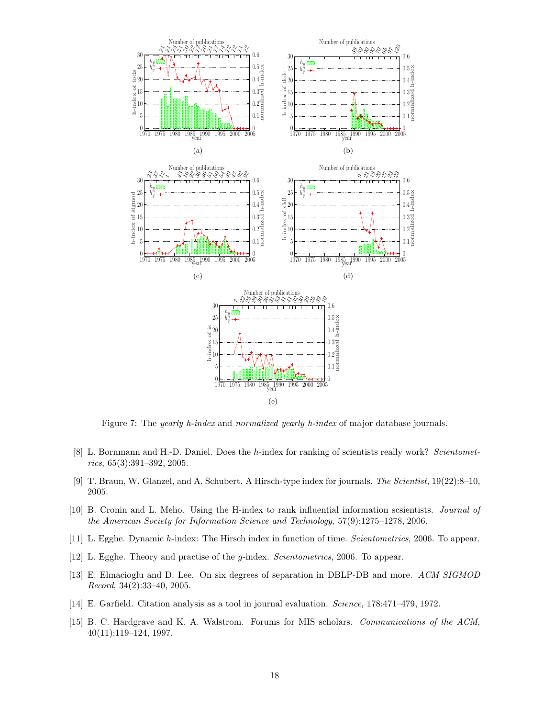<span id="page-17-12"></span><span id="page-17-9"></span>

<span id="page-17-13"></span><span id="page-17-11"></span><span id="page-17-10"></span><span id="page-17-8"></span>Figure 7: The *yearly h-index* and *normalized yearly h-index* of major database journals.

- <span id="page-17-5"></span>[8] L. Bornmann and H.-D. Daniel. Does the h-index for ranking of scientists really work? *Scientometrics*, 65(3):391–392, 2005.
- <span id="page-17-2"></span>[9] T. Braun, W. Glanzel, and A. Schubert. A Hirsch-type index for journals. *The Scientist*, 19(22):8–10, 2005.
- <span id="page-17-3"></span>[10] B. Cronin and L. Meho. Using the H-index to rank influential information scsientists. *Journal of the American Society for Information Science and Technology*, 57(9):1275–1278, 2006.
- <span id="page-17-6"></span><span id="page-17-4"></span>[11] L. Egghe. Dynamic h-index: The Hirsch index in function of time. *Scientometrics*, 2006. To appear.
- <span id="page-17-7"></span>[12] L. Egghe. Theory and practise of the g-index. *Scientometrics*, 2006. To appear.
- [13] E. Elmacioglu and D. Lee. On six degrees of separation in DBLP-DB and more. *ACM SIGMOD Record*, 34(2):33–40, 2005.
- <span id="page-17-1"></span><span id="page-17-0"></span>[14] E. Garfield. Citation analysis as a tool in journal evaluation. *Science*, 178:471–479, 1972.
- [15] B. C. Hardgrave and K. A. Walstrom. Forums for MIS scholars. *Communications of the ACM*, 40(11):119–124, 1997.